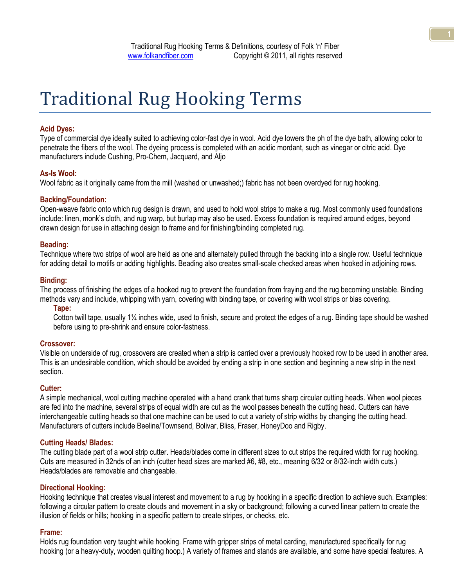# Traditional Rug Hooking Terms

# **Acid Dyes:**

Type of commercial dye ideally suited to achieving color-fast dye in wool. Acid dye lowers the ph of the dye bath, allowing color to penetrate the fibers of the wool. The dyeing process is completed with an acidic mordant, such as vinegar or citric acid. Dye manufacturers include Cushing, Pro-Chem, Jacquard, and Aljo

#### **As-Is Wool:**

Wool fabric as it originally came from the mill (washed or unwashed;) fabric has not been overdyed for rug hooking.

#### **Backing/Foundation:**

Open-weave fabric onto which rug design is drawn, and used to hold wool strips to make a rug. Most commonly used foundations include: linen, monk's cloth, and rug warp, but burlap may also be used. Excess foundation is required around edges, beyond drawn design for use in attaching design to frame and for finishing/binding completed rug.

#### **Beading:**

Technique where two strips of wool are held as one and alternately pulled through the backing into a single row. Useful technique for adding detail to motifs or adding highlights. Beading also creates small-scale checked areas when hooked in adjoining rows.

#### **Binding:**

The process of finishing the edges of a hooked rug to prevent the foundation from fraying and the rug becoming unstable. Binding methods vary and include, whipping with yarn, covering with binding tape, or covering with wool strips or bias covering.

#### **Tape:**

Cotton twill tape, usually 1¼ inches wide, used to finish, secure and protect the edges of a rug. Binding tape should be washed before using to pre-shrink and ensure color-fastness.

#### **Crossover:**

Visible on underside of rug, crossovers are created when a strip is carried over a previously hooked row to be used in another area. This is an undesirable condition, which should be avoided by ending a strip in one section and beginning a new strip in the next section.

#### **Cutter:**

A simple mechanical, wool cutting machine operated with a hand crank that turns sharp circular cutting heads. When wool pieces are fed into the machine, several strips of equal width are cut as the wool passes beneath the cutting head. Cutters can have interchangeable cutting heads so that one machine can be used to cut a variety of strip widths by changing the cutting head. Manufacturers of cutters include Beeline/Townsend, Bolivar, Bliss, Fraser, HoneyDoo and Rigby.

#### **Cutting Heads/ Blades:**

The cutting blade part of a wool strip cutter. Heads/blades come in different sizes to cut strips the required width for rug hooking. Cuts are measured in 32nds of an inch (cutter head sizes are marked #6, #8, etc., meaning 6/32 or 8/32-inch width cuts.) Heads/blades are removable and changeable.

#### **Directional Hooking:**

Hooking technique that creates visual interest and movement to a rug by hooking in a specific direction to achieve such. Examples: following a circular pattern to create clouds and movement in a sky or background; following a curved linear pattern to create the illusion of fields or hills; hooking in a specific pattern to create stripes, or checks, etc.

#### **Frame:**

Holds rug foundation very taught while hooking. Frame with gripper strips of metal carding, manufactured specifically for rug hooking (or a heavy-duty, wooden quilting hoop.) A variety of frames and stands are available, and some have special features. A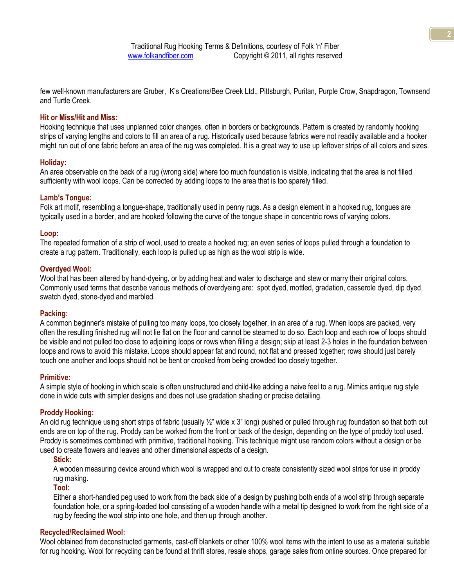few well-known manufacturers are Gruber, K's Creations/Bee Creek Ltd., Pittsburgh, Puritan, Purple Crow, Snapdragon, Townsend and Turtle Creek.

#### **Hit or Miss/Hit and Miss:**

Hooking technique that uses unplanned color changes, often in borders or backgrounds. Pattern is created by randomly hooking strips of varying lengths and colors to fill an area of a rug. Historically used because fabrics were not readily available and a hooker might run out of one fabric before an area of the rug was completed. It is a great way to use up leftover strips of all colors and sizes.

# **Holiday:**

An area observable on the back of a rug (wrong side) where too much foundation is visible, indicating that the area is not filled sufficiently with wool loops. Can be corrected by adding loops to the area that is too sparely filled.

#### **Lamb's Tongue:**

Folk art motif, resembling a tongue-shape, traditionally used in penny rugs. As a design element in a hooked rug, tongues are typically used in a border, and are hooked following the curve of the tongue shape in concentric rows of varying colors.

#### **Loop:**

The repeated formation of a strip of wool, used to create a hooked rug; an even series of loops pulled through a foundation to create a rug pattern. Traditionally, each loop is pulled up as high as the wool strip is wide.

#### **Overdyed Wool:**

Wool that has been altered by hand-dyeing, or by adding heat and water to discharge and stew or marry their original colors. Commonly used terms that describe various methods of overdyeing are: spot dyed, mottled, gradation, casserole dyed, dip dyed, swatch dyed, stone-dyed and marbled.

#### **Packing:**

A common beginner's mistake of pulling too many loops, too closely together, in an area of a rug. When loops are packed, very often the resulting finished rug will not lie flat on the floor and cannot be steamed to do so. Each loop and each row of loops should be visible and not pulled too close to adjoining loops or rows when filling a design; skip at least 2-3 holes in the foundation between loops and rows to avoid this mistake. Loops should appear fat and round, not flat and pressed together; rows should just barely touch one another and loops should not be bent or crooked from being crowded too closely together.

#### **Primitive:**

A simple style of hooking in which scale is often unstructured and child-like adding a naive feel to a rug. Mimics antique rug style done in wide cuts with simpler designs and does not use gradation shading or precise detailing.

# **Proddy Hooking:**

An old rug technique using short strips of fabric (usually  $\frac{1}{2}$ " wide x 3" long) pushed or pulled through rug foundation so that both cut ends are on top of the rug. Proddy can be worked from the front or back of the design, depending on the type of proddy tool used. Proddy is sometimes combined with primitive, traditional hooking. This technique might use random colors without a design or be used to create flowers and leaves and other dimensional aspects of a design.

#### **Stick:**

A wooden measuring device around which wool is wrapped and cut to create consistently sized wool strips for use in proddy rug making.

#### **Tool:**

Either a short-handled peg used to work from the back side of a design by pushing both ends of a wool strip through separate foundation hole, or a spring-loaded tool consisting of a wooden handle with a metal tip designed to work from the right side of a rug by feeding the wool strip into one hole, and then up through another.

# **Recycled/Reclaimed Wool:**

Wool obtained from deconstructed garments, cast-off blankets or other 100% wool items with the intent to use as a material suitable for rug hooking. Wool for recycling can be found at thrift stores, resale shops, garage sales from online sources. Once prepared for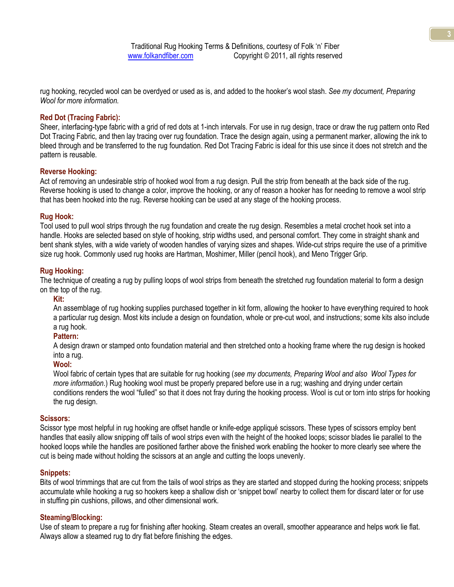Traditional Rug Hooking Terms & Definitions, courtesy of Folk 'n' Fiber www.folkandfiber.com Copyright © 2011, all rights reserved

rug hooking, recycled wool can be overdyed or used as is, and added to the hooker's wool stash. *See my document, Preparing Wool for more information.*

# **Red Dot (Tracing Fabric):**

Sheer, interfacing-type fabric with a grid of red dots at 1-inch intervals. For use in rug design, trace or draw the rug pattern onto Red Dot Tracing Fabric, and then lay tracing over rug foundation. Trace the design again, using a permanent marker, allowing the ink to bleed through and be transferred to the rug foundation. Red Dot Tracing Fabric is ideal for this use since it does not stretch and the pattern is reusable.

# **Reverse Hooking:**

Act of removing an undesirable strip of hooked wool from a rug design. Pull the strip from beneath at the back side of the rug. Reverse hooking is used to change a color, improve the hooking, or any of reason a hooker has for needing to remove a wool strip that has been hooked into the rug. Reverse hooking can be used at any stage of the hooking process.

# **Rug Hook:**

Tool used to pull wool strips through the rug foundation and create the rug design. Resembles a metal crochet hook set into a handle. Hooks are selected based on style of hooking, strip widths used, and personal comfort. They come in straight shank and bent shank styles, with a wide variety of wooden handles of varying sizes and shapes. Wide-cut strips require the use of a primitive size rug hook. Commonly used rug hooks are Hartman, Moshimer, Miller (pencil hook), and Meno Trigger Grip.

# **Rug Hooking:**

The technique of creating a rug by pulling loops of wool strips from beneath the stretched rug foundation material to form a design on the top of the rug.

# **Kit:**

An assemblage of rug hooking supplies purchased together in kit form, allowing the hooker to have everything required to hook a particular rug design. Most kits include a design on foundation, whole or pre-cut wool, and instructions; some kits also include a rug hook.

# **Pattern:**

A design drawn or stamped onto foundation material and then stretched onto a hooking frame where the rug design is hooked into a rug.

# **Wool:**

Wool fabric of certain types that are suitable for rug hooking (*see my documents, Preparing Wool and also Wool Types for more information*.) Rug hooking wool must be properly prepared before use in a rug; washing and drying under certain conditions renders the wool "fulled" so that it does not fray during the hooking process. Wool is cut or torn into strips for hooking the rug design.

# **Scissors:**

Scissor type most helpful in rug hooking are offset handle or knife-edge appliqué scissors. These types of scissors employ bent handles that easily allow snipping off tails of wool strips even with the height of the hooked loops; scissor blades lie parallel to the hooked loops while the handles are positioned farther above the finished work enabling the hooker to more clearly see where the cut is being made without holding the scissors at an angle and cutting the loops unevenly.

# **Snippets:**

Bits of wool trimmings that are cut from the tails of wool strips as they are started and stopped during the hooking process; snippets accumulate while hooking a rug so hookers keep a shallow dish or ‗snippet bowl' nearby to collect them for discard later or for use in stuffing pin cushions, pillows, and other dimensional work.

# **Steaming/Blocking:**

Use of steam to prepare a rug for finishing after hooking. Steam creates an overall, smoother appearance and helps work lie flat. Always allow a steamed rug to dry flat before finishing the edges.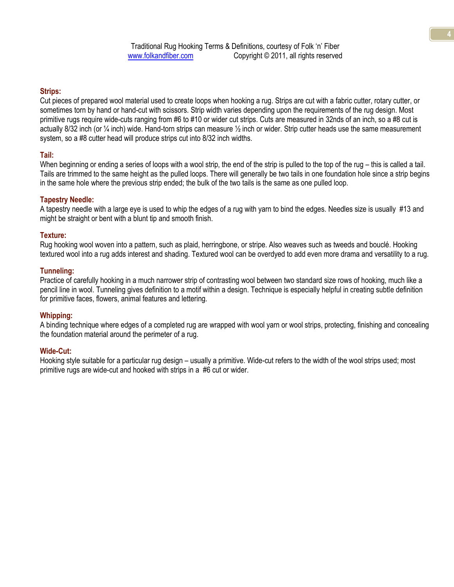# **Strips:**

Cut pieces of prepared wool material used to create loops when hooking a rug. Strips are cut with a fabric cutter, rotary cutter, or sometimes torn by hand or hand-cut with scissors. Strip width varies depending upon the requirements of the rug design. Most primitive rugs require wide-cuts ranging from #6 to #10 or wider cut strips. Cuts are measured in 32nds of an inch, so a #8 cut is actually 8/32 inch (or  $\frac{1}{4}$  inch) wide. Hand-torn strips can measure  $\frac{1}{2}$  inch or wider. Strip cutter heads use the same measurement system, so a #8 cutter head will produce strips cut into 8/32 inch widths.

# **Tail:**

When beginning or ending a series of loops with a wool strip, the end of the strip is pulled to the top of the rug – this is called a tail. Tails are trimmed to the same height as the pulled loops. There will generally be two tails in one foundation hole since a strip begins in the same hole where the previous strip ended; the bulk of the two tails is the same as one pulled loop.

# **Tapestry Needle:**

A tapestry needle with a large eye is used to whip the edges of a rug with yarn to bind the edges. Needles size is usually #13 and might be straight or bent with a blunt tip and smooth finish.

# **Texture:**

Rug hooking wool woven into a pattern, such as plaid, herringbone, or stripe. Also weaves such as tweeds and bouclé. Hooking textured wool into a rug adds interest and shading. Textured wool can be overdyed to add even more drama and versatility to a rug.

# **Tunneling:**

Practice of carefully hooking in a much narrower strip of contrasting wool between two standard size rows of hooking, much like a pencil line in wool. Tunneling gives definition to a motif within a design. Technique is especially helpful in creating subtle definition for primitive faces, flowers, animal features and lettering.

# **Whipping:**

A binding technique where edges of a completed rug are wrapped with wool yarn or wool strips, protecting, finishing and concealing the foundation material around the perimeter of a rug.

# **Wide-Cut:**

Hooking style suitable for a particular rug design – usually a primitive. Wide-cut refers to the width of the wool strips used; most primitive rugs are wide-cut and hooked with strips in a #6 cut or wider.